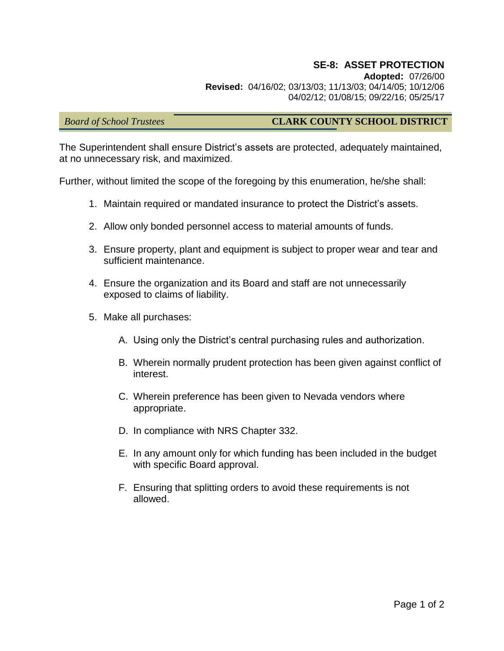## **SE-8: ASSET PROTECTION**

**Adopted:** 07/26/00 **Revised:** 04/16/02; 03/13/03; 11/13/03; 04/14/05; 10/12/06 04/02/12; 01/08/15; 09/22/16; 05/25/17

## *Board of School Trustees* **CLARK COUNTY SCHOOL DISTRICT**

The Superintendent shall ensure District's assets are protected, adequately maintained, at no unnecessary risk, and maximized.

Further, without limited the scope of the foregoing by this enumeration, he/she shall:

- 1. Maintain required or mandated insurance to protect the District's assets.
- 2. Allow only bonded personnel access to material amounts of funds.
- 3. Ensure property, plant and equipment is subject to proper wear and tear and sufficient maintenance.
- 4. Ensure the organization and its Board and staff are not unnecessarily exposed to claims of liability.
- 5. Make all purchases:
	- A. Using only the District's central purchasing rules and authorization.
	- B. Wherein normally prudent protection has been given against conflict of interest.
	- C. Wherein preference has been given to Nevada vendors where appropriate.
	- D. In compliance with NRS Chapter 332.
	- E. In any amount only for which funding has been included in the budget with specific Board approval.
	- F. Ensuring that splitting orders to avoid these requirements is not allowed.